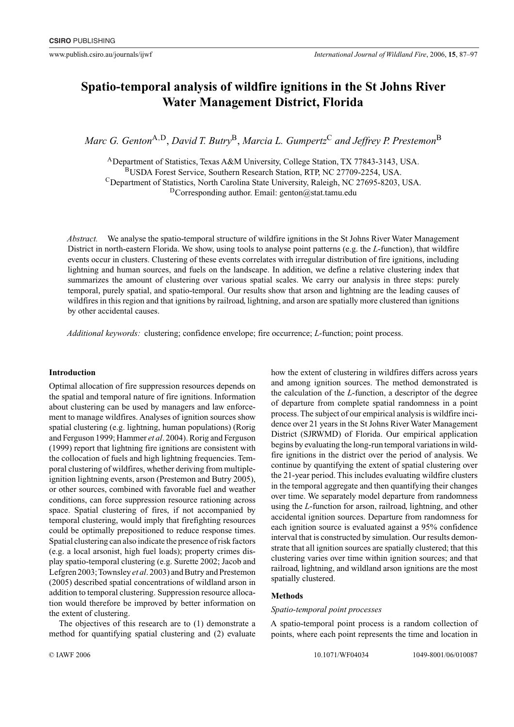# **Spatio-temporal analysis of wildfire ignitions in the St Johns River Water Management District, Florida**

*Marc G. Genton*A*,*D, *David T. Butry*B, *Marcia L. Gumpertz*<sup>C</sup> *and Jeffrey P. Prestemon*<sup>B</sup>

ADepartment of Statistics, Texas A&M University, College Station, TX 77843-3143, USA. BUSDA Forest Service, Southern Research Station, RTP, NC 27709-2254, USA. CDepartment of Statistics, North Carolina State University, Raleigh, NC 27695-8203, USA.  $D$ Corresponding author. Email: genton@stat.tamu.edu

*Abstract.* We analyse the spatio-temporal structure of wildfire ignitions in the St Johns River Water Management District in north-eastern Florida. We show, using tools to analyse point patterns (e.g. the *L*-function), that wildfire events occur in clusters. Clustering of these events correlates with irregular distribution of fire ignitions, including lightning and human sources, and fuels on the landscape. In addition, we define a relative clustering index that summarizes the amount of clustering over various spatial scales. We carry our analysis in three steps: purely temporal, purely spatial, and spatio-temporal. Our results show that arson and lightning are the leading causes of wildfires in this region and that ignitions by railroad, lightning, and arson are spatially more clustered than ignitions by other accidental causes.

*Additional keywords:* clustering; confidence envelope; fire occurrence; *L*-function; point process.

# **Introduction**

Optimal allocation of fire suppression resources depends on the spatial and temporal nature of fire ignitions. Information about clustering can be used by managers and law enforcement to manage wildfires. Analyses of ignition sources show spatial clustering (e.g. lightning, human populations) (Rorig and Ferguson 1999; Hammer *et al*. 2004). Rorig and Ferguson (1999) report that lightning fire ignitions are consistent with the collocation of fuels and high lightning frequencies. Temporal clustering of wildfires, whether deriving from multipleignition lightning events, arson (Prestemon and Butry 2005), or other sources, combined with favorable fuel and weather conditions, can force suppression resource rationing across space. Spatial clustering of fires, if not accompanied by temporal clustering, would imply that firefighting resources could be optimally prepositioned to reduce response times. Spatial clustering can also indicate the presence of risk factors (e.g. a local arsonist, high fuel loads); property crimes display spatio-temporal clustering (e.g. Surette 2002; Jacob and Lefgren 2003;Townsley *et al*. 2003) and Butry and Prestemon (2005) described spatial concentrations of wildland arson in addition to temporal clustering. Suppression resource allocation would therefore be improved by better information on the extent of clustering.

The objectives of this research are to (1) demonstrate a method for quantifying spatial clustering and (2) evaluate how the extent of clustering in wildfires differs across years and among ignition sources. The method demonstrated is the calculation of the *L*-function, a descriptor of the degree of departure from complete spatial randomness in a point process. The subject of our empirical analysis is wildfire incidence over 21 years in the St Johns River Water Management District (SJRWMD) of Florida. Our empirical application begins by evaluating the long-run temporal variations in wildfire ignitions in the district over the period of analysis. We continue by quantifying the extent of spatial clustering over the 21-year period. This includes evaluating wildfire clusters in the temporal aggregate and then quantifying their changes over time. We separately model departure from randomness using the *L*-function for arson, railroad, lightning, and other accidental ignition sources. Departure from randomness for each ignition source is evaluated against a 95% confidence interval that is constructed by simulation. Our results demonstrate that all ignition sources are spatially clustered; that this clustering varies over time within ignition sources; and that railroad, lightning, and wildland arson ignitions are the most spatially clustered.

# **Methods**

# *Spatio-temporal point processes*

A spatio-temporal point process is a random collection of points, where each point represents the time and location in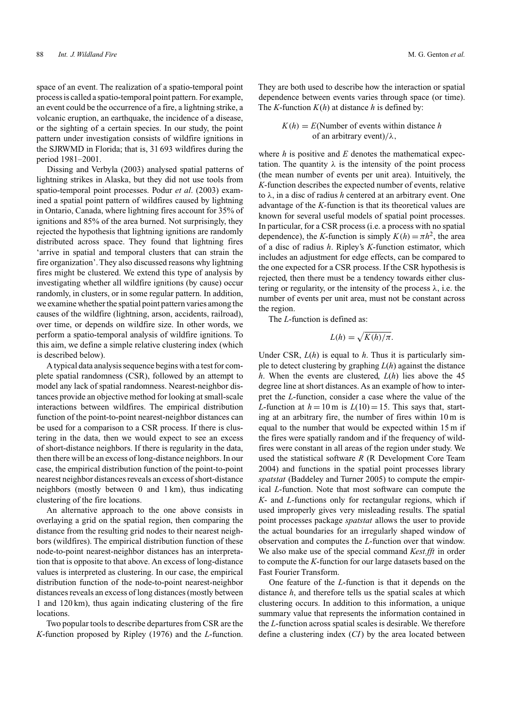space of an event. The realization of a spatio-temporal point process is called a spatio-temporal point pattern. For example, an event could be the occurrence of a fire, a lightning strike, a volcanic eruption, an earthquake, the incidence of a disease, or the sighting of a certain species. In our study, the point pattern under investigation consists of wildfire ignitions in the SJRWMD in Florida; that is, 31 693 wildfires during the period 1981–2001.

Dissing and Verbyla (2003) analysed spatial patterns of lightning strikes in Alaska, but they did not use tools from spatio-temporal point processes. Podur *et al*. (2003) examined a spatial point pattern of wildfires caused by lightning in Ontario, Canada, where lightning fires account for 35% of ignitions and 85% of the area burned. Not surprisingly, they rejected the hypothesis that lightning ignitions are randomly distributed across space. They found that lightning fires 'arrive in spatial and temporal clusters that can strain the fire organization'. They also discussed reasons why lightning fires might be clustered. We extend this type of analysis by investigating whether all wildfire ignitions (by cause) occur randomly, in clusters, or in some regular pattern. In addition, we examine whether the spatial point pattern varies among the causes of the wildfire (lightning, arson, accidents, railroad), over time, or depends on wildfire size. In other words, we perform a spatio-temporal analysis of wildfire ignitions. To this aim, we define a simple relative clustering index (which is described below).

A typical data analysis sequence begins with a test for complete spatial randomness (CSR), followed by an attempt to model any lack of spatial randomness. Nearest-neighbor distances provide an objective method for looking at small-scale interactions between wildfires. The empirical distribution function of the point-to-point nearest-neighbor distances can be used for a comparison to a CSR process. If there is clustering in the data, then we would expect to see an excess of short-distance neighbors. If there is regularity in the data, then there will be an excess of long-distance neighbors. In our case, the empirical distribution function of the point-to-point nearest neighbor distances reveals an excess of short-distance neighbors (mostly between 0 and 1 km), thus indicating clustering of the fire locations.

An alternative approach to the one above consists in overlaying a grid on the spatial region, then comparing the distance from the resulting grid nodes to their nearest neighbors (wildfires). The empirical distribution function of these node-to-point nearest-neighbor distances has an interpretation that is opposite to that above. An excess of long-distance values is interpreted as clustering. In our case, the empirical distribution function of the node-to-point nearest-neighbor distances reveals an excess of long distances (mostly between 1 and 120 km), thus again indicating clustering of the fire locations.

Two popular tools to describe departures from CSR are the *K*-function proposed by Ripley (1976) and the *L*-function.

They are both used to describe how the interaction or spatial dependence between events varies through space (or time). The *K*-function  $K(h)$  at distance *h* is defined by:

$$
K(h) = E(\text{Number of events within distance } h \text{ of an arbitrary event})/\lambda,
$$

where *h* is positive and *E* denotes the mathematical expectation. The quantity  $\lambda$  is the intensity of the point process (the mean number of events per unit area). Intuitively, the *K*-function describes the expected number of events, relative to *λ*, in a disc of radius *h* centered at an arbitrary event. One advantage of the *K*-function is that its theoretical values are known for several useful models of spatial point processes. In particular, for a CSR process (i.e. a process with no spatial dependence), the *K*-function is simply  $K(h) = \pi h^2$ , the area of a disc of radius *h*. Ripley's *K*-function estimator, which includes an adjustment for edge effects, can be compared to the one expected for a CSR process. If the CSR hypothesis is rejected, then there must be a tendency towards either clustering or regularity, or the intensity of the process *λ*, i.e. the number of events per unit area, must not be constant across the region.

The *L*-function is defined as:

$$
L(h) = \sqrt{K(h)/\pi}.
$$

Under CSR, *L*(*h*) is equal to *h*. Thus it is particularly simple to detect clustering by graphing *L*(*h*) against the distance *h*. When the events are clustered, *L*(*h*) lies above the 45 degree line at short distances. As an example of how to interpret the *L*-function, consider a case where the value of the *L*-function at  $h = 10$  m is  $L(10) = 15$ . This says that, starting at an arbitrary fire, the number of fires within 10 m is equal to the number that would be expected within 15 m if the fires were spatially random and if the frequency of wildfires were constant in all areas of the region under study. We used the statistical software *R* (R Development Core Team 2004) and functions in the spatial point processes library *spatstat* (Baddeley and Turner 2005) to compute the empirical *L*-function. Note that most software can compute the *K*- and *L*-functions only for rectangular regions, which if used improperly gives very misleading results. The spatial point processes package *spatstat* allows the user to provide the actual boundaries for an irregularly shaped window of observation and computes the *L*-function over that window. We also make use of the special command *Kest.fft* in order to compute the *K*-function for our large datasets based on the Fast Fourier Transform.

One feature of the *L*-function is that it depends on the distance *h*, and therefore tells us the spatial scales at which clustering occurs. In addition to this information, a unique summary value that represents the information contained in the *L*-function across spatial scales is desirable. We therefore define a clustering index (*CI*) by the area located between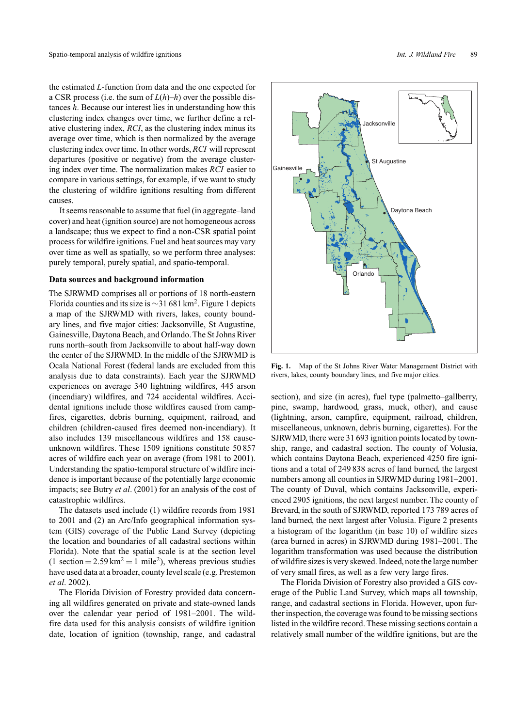the estimated *L*-function from data and the one expected for a CSR process (i.e. the sum of *L*(*h*)–*h*) over the possible distances *h*. Because our interest lies in understanding how this clustering index changes over time, we further define a relative clustering index, *RCI*, as the clustering index minus its average over time, which is then normalized by the average clustering index over time. In other words, *RCI* will represent departures (positive or negative) from the average clustering index over time. The normalization makes *RCI* easier to compare in various settings, for example, if we want to study the clustering of wildfire ignitions resulting from different causes.

It seems reasonable to assume that fuel (in aggregate–land cover) and heat (ignition source) are not homogeneous across a landscape; thus we expect to find a non-CSR spatial point process for wildfire ignitions. Fuel and heat sources may vary over time as well as spatially, so we perform three analyses: purely temporal, purely spatial, and spatio-temporal.

# **Data sources and background information**

The SJRWMD comprises all or portions of 18 north-eastern Florida counties and its size is  $\sim$ 31 681 km<sup>2</sup>. Figure 1 depicts a map of the SJRWMD with rivers, lakes, county boundary lines, and five major cities: Jacksonville, St Augustine, Gainesville, Daytona Beach, and Orlando.The St Johns River runs north–south from Jacksonville to about half-way down the center of the SJRWMD. In the middle of the SJRWMD is Ocala National Forest (federal lands are excluded from this analysis due to data constraints). Each year the SJRWMD experiences on average 340 lightning wildfires, 445 arson (incendiary) wildfires, and 724 accidental wildfires. Accidental ignitions include those wildfires caused from campfires, cigarettes, debris burning, equipment, railroad, and children (children-caused fires deemed non-incendiary). It also includes 139 miscellaneous wildfires and 158 causeunknown wildfires. These 1509 ignitions constitute 50 857 acres of wildfire each year on average (from 1981 to 2001). Understanding the spatio-temporal structure of wildfire incidence is important because of the potentially large economic impacts; see Butry *et al*. (2001) for an analysis of the cost of catastrophic wildfires.

The datasets used include (1) wildfire records from 1981 to 2001 and (2) an Arc/Info geographical information system (GIS) coverage of the Public Land Survey (depicting the location and boundaries of all cadastral sections within Florida). Note that the spatial scale is at the section level  $(1 \text{ section} = 2.59 \text{ km}^2 = 1 \text{ mile}^2)$ , whereas previous studies have used data at a broader, county level scale (e.g. Prestemon *et al*. 2002).

The Florida Division of Forestry provided data concerning all wildfires generated on private and state-owned lands over the calendar year period of 1981–2001. The wildfire data used for this analysis consists of wildfire ignition date, location of ignition (township, range, and cadastral

Daytona Beach St Augustine Jacksonville **Gainesville** Orlando

**Fig. 1.** Map of the St Johns River Water Management District with rivers, lakes, county boundary lines, and five major cities.

section), and size (in acres), fuel type (palmetto–gallberry, pine, swamp, hardwood, grass, muck, other), and cause (lightning, arson, campfire, equipment, railroad, children, miscellaneous, unknown, debris burning, cigarettes). For the SJRWMD, there were 31 693 ignition points located by township, range, and cadastral section. The county of Volusia, which contains Daytona Beach, experienced 4250 fire ignitions and a total of 249 838 acres of land burned, the largest numbers among all counties in SJRWMD during 1981–2001. The county of Duval, which contains Jacksonville, experienced 2905 ignitions, the next largest number. The county of Brevard, in the south of SJRWMD, reported 173 789 acres of land burned, the next largest after Volusia. Figure 2 presents a histogram of the logarithm (in base 10) of wildfire sizes (area burned in acres) in SJRWMD during 1981–2001. The logarithm transformation was used because the distribution of wildfire sizes is very skewed. Indeed, note the large number of very small fires, as well as a few very large fires.

The Florida Division of Forestry also provided a GIS coverage of the Public Land Survey, which maps all township, range, and cadastral sections in Florida. However, upon further inspection, the coverage was found to be missing sections listed in the wildfire record. These missing sections contain a relatively small number of the wildfire ignitions, but are the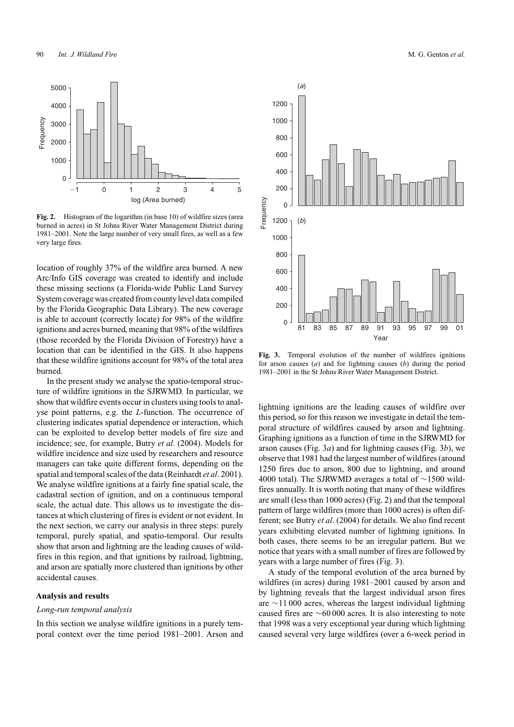

**Fig. 2.** Histogram of the logarithm (in base 10) of wildfire sizes (area burned in acres) in St Johns River Water Management District during 1981–2001. Note the large number of very small fires, as well as a few very large fires.

location of roughly 37% of the wildfire area burned. A new Arc/Info GIS coverage was created to identify and include these missing sections (a Florida-wide Public Land Survey System coverage was created from county level data compiled by the Florida Geographic Data Library). The new coverage is able to account (correctly locate) for 98% of the wildfire ignitions and acres burned, meaning that 98% of the wildfires (those recorded by the Florida Division of Forestry) have a location that can be identified in the GIS. It also happens that these wildfire ignitions account for 98% of the total area burned.

In the present study we analyse the spatio-temporal structure of wildfire ignitions in the SJRWMD. In particular, we show that wildfire events occur in clusters using tools to analyse point patterns, e.g. the *L*-function. The occurrence of clustering indicates spatial dependence or interaction, which can be exploited to develop better models of fire size and incidence; see, for example, Butry *et al*. (2004). Models for wildfire incidence and size used by researchers and resource managers can take quite different forms, depending on the spatial and temporal scales of the data (Reinhardt *et al*. 2001). We analyse wildfire ignitions at a fairly fine spatial scale, the cadastral section of ignition, and on a continuous temporal scale, the actual date. This allows us to investigate the distances at which clustering of fires is evident or not evident. In the next section, we carry our analysis in three steps: purely temporal, purely spatial, and spatio-temporal. Our results show that arson and lightning are the leading causes of wildfires in this region, and that ignitions by railroad, lightning, and arson are spatially more clustered than ignitions by other accidental causes.

#### **Analysis and results**

#### *Long-run temporal analysis*

In this section we analyse wildfire ignitions in a purely temporal context over the time period 1981–2001. Arson and



**Fig. 3.** Temporal evolution of the number of wildfires ignitions for arson causes (*a*) and for lightning causes (*b*) during the period 1981–2001 in the St Johns River Water Management District.

lightning ignitions are the leading causes of wildfire over this period, so for this reason we investigate in detail the temporal structure of wildfires caused by arson and lightning. Graphing ignitions as a function of time in the SJRWMD for arson causes (Fig. 3*a*) and for lightning causes (Fig. 3*b*), we observe that 1981 had the largest number of wildfires (around 1250 fires due to arson, 800 due to lightning, and around 4000 total). The SJRWMD averages a total of ∼1500 wildfires annually. It is worth noting that many of these wildfires are small (less than 1000 acres) (Fig. 2) and that the temporal pattern of large wildfires (more than 1000 acres) is often different; see Butry *et al*. (2004) for details. We also find recent years exhibiting elevated number of lightning ignitions. In both cases, there seems to be an irregular pattern. But we notice that years with a small number of fires are followed by years with a large number of fires (Fig. 3).

A study of the temporal evolution of the area burned by wildfires (in acres) during 1981–2001 caused by arson and by lightning reveals that the largest individual arson fires are ∼11 000 acres, whereas the largest individual lightning caused fires are ∼60 000 acres. It is also interesting to note that 1998 was a very exceptional year during which lightning caused several very large wildfires (over a 6-week period in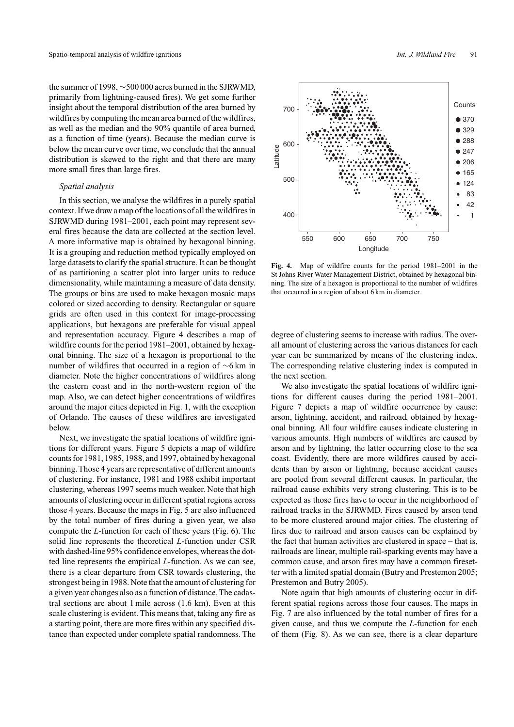the summer of 1998, ∼500 000 acres burned in the SJRWMD, primarily from lightning-caused fires). We get some further insight about the temporal distribution of the area burned by wildfires by computing the mean area burned of the wildfires, as well as the median and the 90% quantile of area burned, as a function of time (years). Because the median curve is below the mean curve over time, we conclude that the annual distribution is skewed to the right and that there are many more small fires than large fires.

#### *Spatial analysis*

In this section, we analyse the wildfires in a purely spatial context. If we draw a map of the locations of all the wildfires in SJRWMD during 1981–2001, each point may represent several fires because the data are collected at the section level. A more informative map is obtained by hexagonal binning. It is a grouping and reduction method typically employed on large datasets to clarify the spatial structure. It can be thought of as partitioning a scatter plot into larger units to reduce dimensionality, while maintaining a measure of data density. The groups or bins are used to make hexagon mosaic maps colored or sized according to density. Rectangular or square grids are often used in this context for image-processing applications, but hexagons are preferable for visual appeal and representation accuracy. Figure 4 describes a map of wildfire counts for the period 1981–2001, obtained by hexagonal binning. The size of a hexagon is proportional to the number of wildfires that occurred in a region of ∼6 km in diameter. Note the higher concentrations of wildfires along the eastern coast and in the north-western region of the map. Also, we can detect higher concentrations of wildfires around the major cities depicted in Fig. 1, with the exception of Orlando. The causes of these wildfires are investigated below.

Next, we investigate the spatial locations of wildfire ignitions for different years. Figure 5 depicts a map of wildfire counts for 1981, 1985, 1988, and 1997, obtained by hexagonal binning.Those 4 years are representative of different amounts of clustering. For instance, 1981 and 1988 exhibit important clustering, whereas 1997 seems much weaker. Note that high amounts of clustering occur in different spatial regions across those 4 years. Because the maps in Fig. 5 are also influenced by the total number of fires during a given year, we also compute the *L*-function for each of these years (Fig. 6). The solid line represents the theoretical *L*-function under CSR with dashed-line 95% confidence envelopes, whereas the dotted line represents the empirical *L*-function. As we can see, there is a clear departure from CSR towards clustering, the strongest being in 1988. Note that the amount of clustering for a given year changes also as a function of distance.The cadastral sections are about 1 mile across (1.6 km). Even at this scale clustering is evident. This means that, taking any fire as a starting point, there are more fires within any specified distance than expected under complete spatial randomness. The



**Fig. 4.** Map of wildfire counts for the period 1981–2001 in the St Johns River Water Management District, obtained by hexagonal binning. The size of a hexagon is proportional to the number of wildfires that occurred in a region of about 6 km in diameter.

degree of clustering seems to increase with radius. The overall amount of clustering across the various distances for each year can be summarized by means of the clustering index. The corresponding relative clustering index is computed in the next section.

We also investigate the spatial locations of wildfire ignitions for different causes during the period 1981–2001. Figure 7 depicts a map of wildfire occurrence by cause: arson, lightning, accident, and railroad, obtained by hexagonal binning. All four wildfire causes indicate clustering in various amounts. High numbers of wildfires are caused by arson and by lightning, the latter occurring close to the sea coast. Evidently, there are more wildfires caused by accidents than by arson or lightning, because accident causes are pooled from several different causes. In particular, the railroad cause exhibits very strong clustering. This is to be expected as those fires have to occur in the neighborhood of railroad tracks in the SJRWMD. Fires caused by arson tend to be more clustered around major cities. The clustering of fires due to railroad and arson causes can be explained by the fact that human activities are clustered in space – that is, railroads are linear, multiple rail-sparking events may have a common cause, and arson fires may have a common firesetter with a limited spatial domain (Butry and Prestemon 2005; Prestemon and Butry 2005).

Note again that high amounts of clustering occur in different spatial regions across those four causes. The maps in Fig. 7 are also influenced by the total number of fires for a given cause, and thus we compute the *L*-function for each of them (Fig. 8). As we can see, there is a clear departure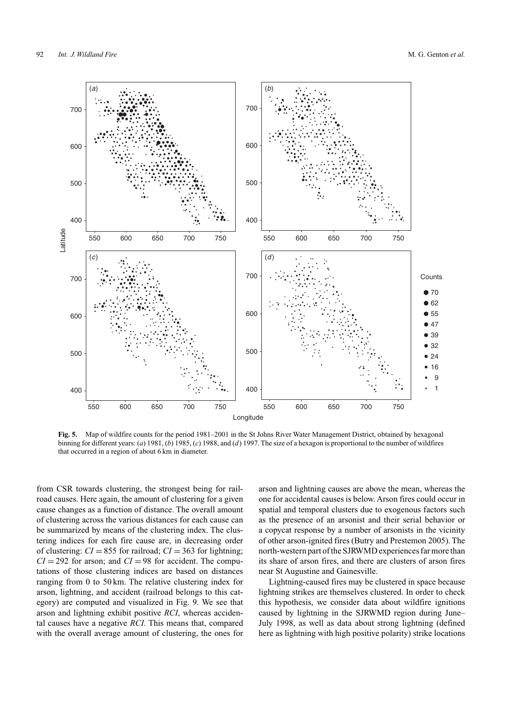

**Fig. 5.** Map of wildfire counts for the period 1981–2001 in the St Johns River Water Management District, obtained by hexagonal binning for different years: (*a*) 1981, (*b*) 1985, (*c*) 1988, and (*d*) 1997. The size of a hexagon is proportional to the number of wildfires that occurred in a region of about 6 km in diameter.

from CSR towards clustering, the strongest being for railroad causes. Here again, the amount of clustering for a given cause changes as a function of distance. The overall amount of clustering across the various distances for each cause can be summarized by means of the clustering index. The clustering indices for each fire cause are, in decreasing order of clustering:  $CI = 855$  for railroad;  $CI = 363$  for lightning;  $CI = 292$  for arson; and  $CI = 98$  for accident. The computations of those clustering indices are based on distances ranging from 0 to 50 km. The relative clustering index for arson, lightning, and accident (railroad belongs to this category) are computed and visualized in Fig. 9. We see that arson and lightning exhibit positive *RCI*, whereas accidental causes have a negative *RCI*. This means that, compared with the overall average amount of clustering, the ones for arson and lightning causes are above the mean, whereas the one for accidental causes is below. Arson fires could occur in spatial and temporal clusters due to exogenous factors such as the presence of an arsonist and their serial behavior or a copycat response by a number of arsonists in the vicinity of other arson-ignited fires (Butry and Prestemon 2005). The north-western part of the SJRWMD experiences far more than its share of arson fires, and there are clusters of arson fires near St Augustine and Gainesville.

Lightning-caused fires may be clustered in space because lightning strikes are themselves clustered. In order to check this hypothesis, we consider data about wildfire ignitions caused by lightning in the SJRWMD region during June– July 1998, as well as data about strong lightning (defined here as lightning with high positive polarity) strike locations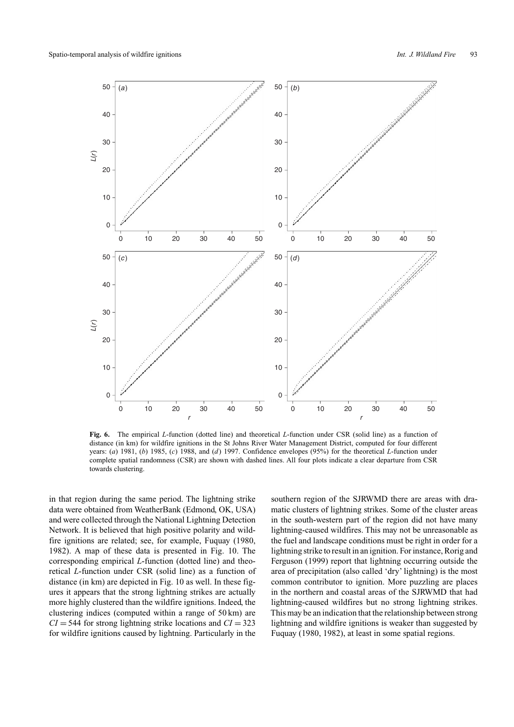

**Fig. 6.** The empirical *L*-function (dotted line) and theoretical *L*-function under CSR (solid line) as a function of distance (in km) for wildfire ignitions in the St Johns River Water Management District, computed for four different years: (*a*) 1981, (*b*) 1985, (*c*) 1988, and (*d*) 1997. Confidence envelopes (95%) for the theoretical *L*-function under complete spatial randomness (CSR) are shown with dashed lines. All four plots indicate a clear departure from CSR towards clustering.

in that region during the same period. The lightning strike data were obtained from WeatherBank (Edmond, OK, USA) and were collected through the National Lightning Detection Network. It is believed that high positive polarity and wildfire ignitions are related; see, for example, Fuquay (1980, 1982). A map of these data is presented in Fig. 10. The corresponding empirical *L*-function (dotted line) and theoretical *L*-function under CSR (solid line) as a function of distance (in km) are depicted in Fig. 10 as well. In these figures it appears that the strong lightning strikes are actually more highly clustered than the wildfire ignitions. Indeed, the clustering indices (computed within a range of 50 km) are  $CI = 544$  for strong lightning strike locations and  $CI = 323$ for wildfire ignitions caused by lightning. Particularly in the southern region of the SJRWMD there are areas with dramatic clusters of lightning strikes. Some of the cluster areas in the south-western part of the region did not have many lightning-caused wildfires. This may not be unreasonable as the fuel and landscape conditions must be right in order for a lightning strike to result in an ignition. For instance, Rorig and Ferguson (1999) report that lightning occurring outside the area of precipitation (also called 'dry' lightning) is the most common contributor to ignition. More puzzling are places in the northern and coastal areas of the SJRWMD that had lightning-caused wildfires but no strong lightning strikes. This may be an indication that the relationship between strong lightning and wildfire ignitions is weaker than suggested by Fuquay (1980, 1982), at least in some spatial regions.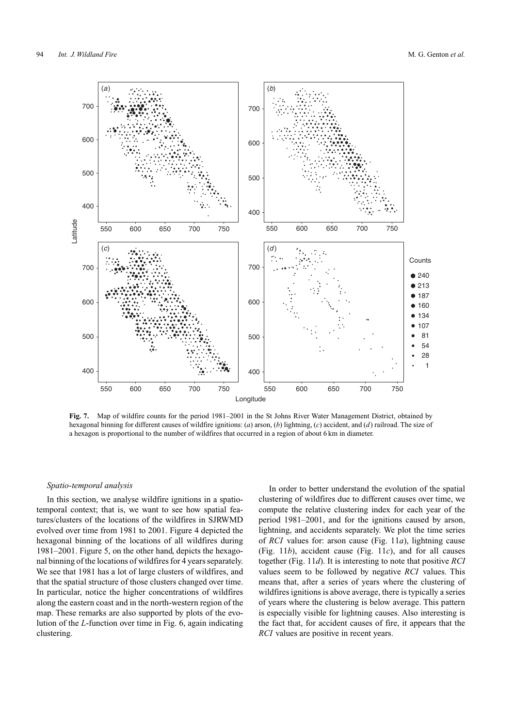

**Fig. 7.** Map of wildfire counts for the period 1981–2001 in the St Johns River Water Management District, obtained by hexagonal binning for different causes of wildfire ignitions: (*a*) arson, (*b*) lightning, (*c*) accident, and (*d*) railroad. The size of a hexagon is proportional to the number of wildfires that occurred in a region of about 6 km in diameter.

#### *Spatio-temporal analysis*

In this section, we analyse wildfire ignitions in a spatiotemporal context; that is, we want to see how spatial features/clusters of the locations of the wildfires in SJRWMD evolved over time from 1981 to 2001. Figure 4 depicted the hexagonal binning of the locations of all wildfires during 1981–2001. Figure 5, on the other hand, depicts the hexagonal binning of the locations of wildfires for 4 years separately. We see that 1981 has a lot of large clusters of wildfires, and that the spatial structure of those clusters changed over time. In particular, notice the higher concentrations of wildfires along the eastern coast and in the north-western region of the map. These remarks are also supported by plots of the evolution of the *L*-function over time in Fig. 6, again indicating clustering.

In order to better understand the evolution of the spatial clustering of wildfires due to different causes over time, we compute the relative clustering index for each year of the period 1981–2001, and for the ignitions caused by arson, lightning, and accidents separately. We plot the time series of *RCI* values for: arson cause (Fig. 11*a*), lightning cause (Fig. 11*b*), accident cause (Fig. 11*c*), and for all causes together (Fig. 11*d*). It is interesting to note that positive *RCI* values seem to be followed by negative *RCI* values. This means that, after a series of years where the clustering of wildfires ignitions is above average, there is typically a series of years where the clustering is below average. This pattern is especially visible for lightning causes. Also interesting is the fact that, for accident causes of fire, it appears that the *RCI* values are positive in recent years.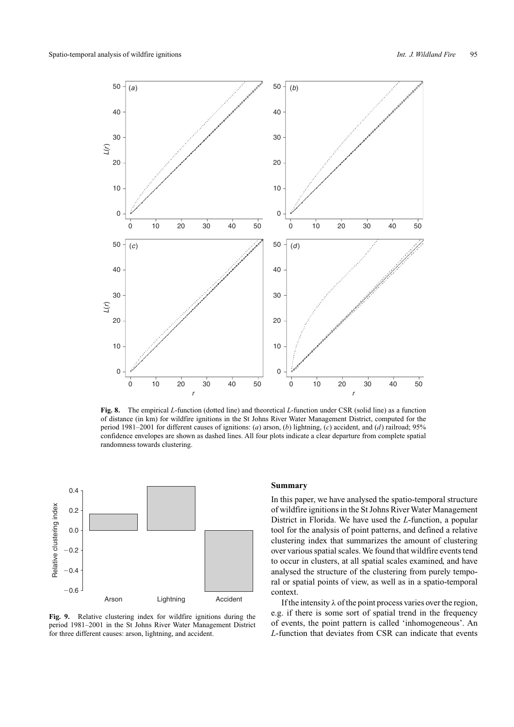

**Fig. 8.** The empirical *L*-function (dotted line) and theoretical *L*-function under CSR (solid line) as a function of distance (in km) for wildfire ignitions in the St Johns River Water Management District, computed for the period 1981–2001 for different causes of ignitions: (*a*) arson, (*b*) lightning, (*c*) accident, and (*d*) railroad; 95% confidence envelopes are shown as dashed lines. All four plots indicate a clear departure from complete spatial randomness towards clustering.



**Fig. 9.** Relative clustering index for wildfire ignitions during the period 1981–2001 in the St Johns River Water Management District for three different causes: arson, lightning, and accident.

# **Summary**

In this paper, we have analysed the spatio-temporal structure of wildfire ignitions in the St Johns River Water Management District in Florida. We have used the *L*-function, a popular tool for the analysis of point patterns, and defined a relative clustering index that summarizes the amount of clustering over various spatial scales. We found that wildfire events tend to occur in clusters, at all spatial scales examined, and have analysed the structure of the clustering from purely temporal or spatial points of view, as well as in a spatio-temporal context.

If the intensity  $\lambda$  of the point process varies over the region, e.g. if there is some sort of spatial trend in the frequency of events, the point pattern is called 'inhomogeneous'. An *L*-function that deviates from CSR can indicate that events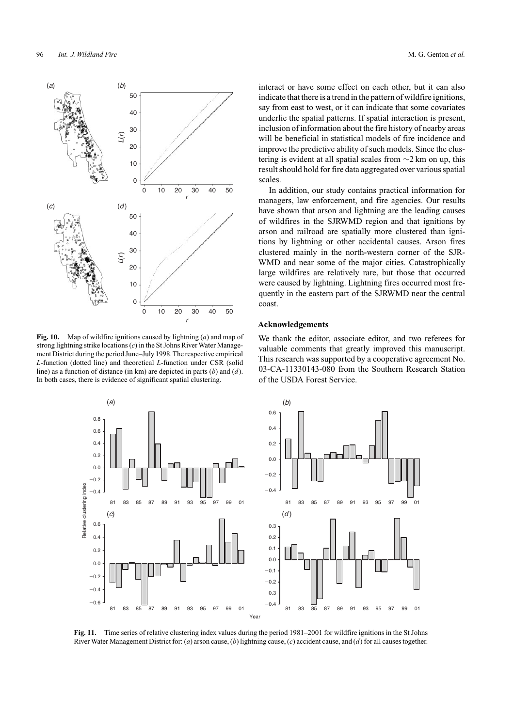

**Fig. 10.** Map of wildfire ignitions caused by lightning (*a*) and map of strong lightning strike locations (*c*) in the St Johns River Water Management District during the period June–July 1998.The respective empirical *L*-function (dotted line) and theoretical *L*-function under CSR (solid line) as a function of distance (in km) are depicted in parts (*b*) and (*d*). In both cases, there is evidence of significant spatial clustering.

interact or have some effect on each other, but it can also indicate that there is a trend in the pattern of wildfire ignitions, say from east to west, or it can indicate that some covariates underlie the spatial patterns. If spatial interaction is present, inclusion of information about the fire history of nearby areas will be beneficial in statistical models of fire incidence and improve the predictive ability of such models. Since the clustering is evident at all spatial scales from ∼2 km on up, this result should hold for fire data aggregated over various spatial scales.

In addition, our study contains practical information for managers, law enforcement, and fire agencies. Our results have shown that arson and lightning are the leading causes of wildfires in the SJRWMD region and that ignitions by arson and railroad are spatially more clustered than ignitions by lightning or other accidental causes. Arson fires clustered mainly in the north-western corner of the SJR-WMD and near some of the major cities. Catastrophically large wildfires are relatively rare, but those that occurred were caused by lightning. Lightning fires occurred most frequently in the eastern part of the SJRWMD near the central coast.

#### **Acknowledgements**

We thank the editor, associate editor, and two referees for valuable comments that greatly improved this manuscript. This research was supported by a cooperative agreement No. 03-CA-11330143-080 from the Southern Research Station of the USDA Forest Service.



**Fig. 11.** Time series of relative clustering index values during the period 1981–2001 for wildfire ignitions in the St Johns River Water Management District for: (*a*) arson cause, (*b*) lightning cause, (*c*) accident cause, and (*d*) for all causes together.